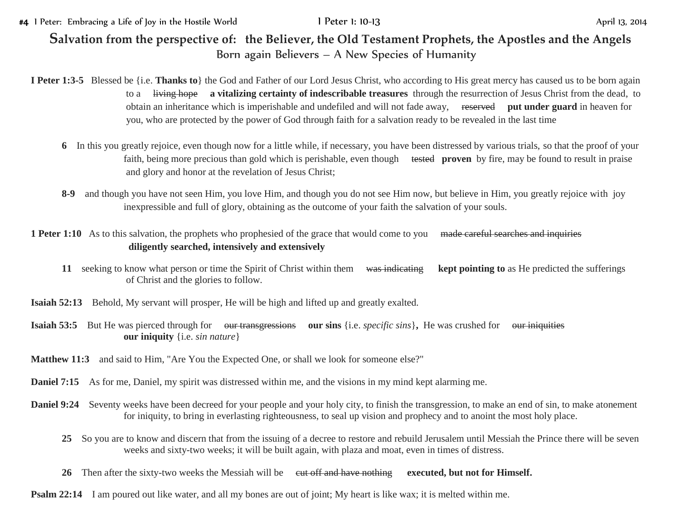#4 I Peter: Embracing a Life of Joy in the Hostile World **I Peter 1: 10-13** April 13, 2014

## **Salvation from the perspective of: the Believer, the Old Testament Prophets, the Apostles and the Angels** Born again Believers – A New Species of Humanity

## **I Peter 1:3-5** Blessed be {i.e. **Thanks to**} the God and Father of our Lord Jesus Christ, who according to His great mercy has caused us to be born again to a living hope **a vitalizing certainty of indescribable treasures** through the resurrection of Jesus Christ from the dead, to obtain an inheritance which is imperishable and undefiled and will not fade away, reserved **put under guard** in heaven for you, who are protected by the power of God through faith for a salvation ready to be revealed in the last time

- **6** In this you greatly rejoice, even though now for a little while, if necessary, you have been distressed by various trials, so that the proof of your faith, being more precious than gold which is perishable, even though tested **proven** by fire, may be found to result in praise and glory and honor at the revelation of Jesus Christ;
- **8-9** and though you have not seen Him, you love Him, and though you do not see Him now, but believe in Him, you greatly rejoice with joy inexpressible and full of glory, obtaining as the outcome of your faith the salvation of your souls.

## 1 Peter 1:10 As to this salvation, the prophets who prophesied of the grace that would come to you made careful searches and inquiries **diligently searched, intensively and extensively**

- **11** seeking to know what person or time the Spirit of Christ within them was indicating **kept pointing to** as He predicted the sufferings of Christ and the glories to follow.
- **Isaiah 52:13** Behold, My servant will prosper, He will be high and lifted up and greatly exalted.
- **Isaiah 53:5** But He was pierced through for our transgressions our sins {i.e. *specific sins*}, He was crushed for our iniquities **our iniquity** {i.e. *sin nature*}
- **Matthew 11:3** and said to Him, "Are You the Expected One, or shall we look for someone else?"
- **Daniel 7:15** As for me, Daniel, my spirit was distressed within me, and the visions in my mind kept alarming me.
- **Daniel 9:24** Seventy weeks have been decreed for your people and your holy city, to finish the transgression, to make an end of sin, to make atonement for iniquity, to bring in everlasting righteousness, to seal up vision and prophecy and to anoint the most holy place.
	- **25** So you are to know and discern that from the issuing of a decree to restore and rebuild Jerusalem until Messiah the Prince there will be seven weeks and sixty-two weeks; it will be built again, with plaza and moat, even in times of distress.
	- 26 Then after the sixty-two weeks the Messiah will be eut off and have nothing executed, but not for Himself.
- **Psalm 22:14** I am poured out like water, and all my bones are out of joint; My heart is like wax; it is melted within me.